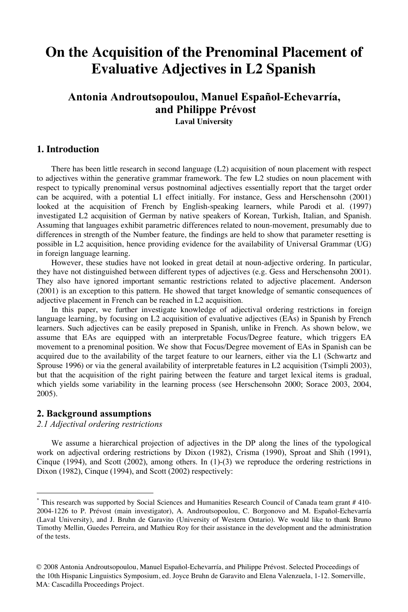# **On the Acquisition of the Prenominal Placement of Evaluative Adjectives in L2 Spanish**

# **Antonia Androutsopoulou, Manuel Español-Echevarría, and Philippe Prévost**

**Laval University**

# **1. Introduction**

There has been little research in second language (L2) acquisition of noun placement with respect to adjectives within the generative grammar framework. The few L2 studies on noun placement with respect to typically prenominal versus postnominal adjectives essentially report that the target order can be acquired, with a potential L1 effect initially. For instance, Gess and Herschensohn (2001) looked at the acquisition of French by English-speaking learners, while Parodi et al. (1997) investigated L2 acquisition of German by native speakers of Korean, Turkish, Italian, and Spanish. Assuming that languages exhibit parametric differences related to noun-movement, presumably due to differences in strength of the Number feature, the findings are held to show that parameter resetting is possible in L2 acquisition, hence providing evidence for the availability of Universal Grammar (UG) in foreign language learning.

However, these studies have not looked in great detail at noun-adjective ordering. In particular, they have not distinguished between different types of adjectives (e.g. Gess and Herschensohn 2001). They also have ignored important semantic restrictions related to adjective placement. Anderson (2001) is an exception to this pattern. He showed that target knowledge of semantic consequences of adjective placement in French can be reached in L2 acquisition.

In this paper, we further investigate knowledge of adjectival ordering restrictions in foreign language learning, by focusing on L2 acquisition of evaluative adjectives (EAs) in Spanish by French learners. Such adjectives can be easily preposed in Spanish, unlike in French. As shown below, we assume that EAs are equipped with an interpretable Focus/Degree feature, which triggers EA movement to a prenominal position. We show that Focus/Degree movement of EAs in Spanish can be acquired due to the availability of the target feature to our learners, either via the L1 (Schwartz and Sprouse 1996) or via the general availability of interpretable features in L2 acquisition (Tsimpli 2003), but that the acquisition of the right pairing between the feature and target lexical items is gradual, which yields some variability in the learning process (see Herschensohn 2000; Sorace 2003, 2004, 2005).

## **2. Background assumptions**

*2.1 Adjectival ordering restrictions*

We assume a hierarchical projection of adjectives in the DP along the lines of the typological work on adjectival ordering restrictions by Dixon (1982), Crisma (1990), Sproat and Shih (1991), Cinque (1994), and Scott (2002), among others. In (1)-(3) we reproduce the ordering restrictions in Dixon (1982), Cinque (1994), and Scott (2002) respectively:

This research was supported by Social Sciences and Humanities Research Council of Canada team grant # 410-2004-1226 to P. Prévost (main investigator), A. Androutsopoulou, C. Borgonovo and M. Español-Echevarría (Laval University), and J. Bruhn de Garavito (University of Western Ontario). We would like to thank Bruno Timothy Mellin, Guedes Perreira, and Mathieu Roy for their assistance in the development and the administration of the tests.

<sup>© 2008</sup> Antonia Androutsopoulou, Manuel Español-Echevarría, and Philippe Prévost. Selected Proceedings of the 10th Hispanic Linguistics Symposium, ed. Joyce Bruhn de Garavito and Elena Valenzuela, 1-12. Somerville, MA: Cascadilla Proceedings Project.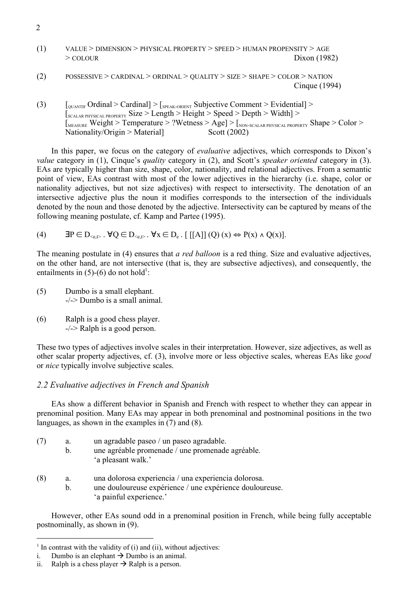- (1) VALUE > DIMENSION > PHYSICAL PROPERTY > SPEED > HUMAN PROPENSITY > AGE  $>$  COLOUR Dixon (1982)
- (2) POSSESSIVE > CARDINAL > ORDINAL > QUALITY > SIZE > SHAPE > COLOR > NATION Cinque (1994)
- (3)  $\left[0.01\right]$   $\left[0.01\right]$   $\left[0.01\right]$   $\left[0.01\right]$   $\left[0.01\right]$   $\left[0.01\right]$   $\left[0.01\right]$   $\left[0.01\right]$   $\left[0.01\right]$   $\left[0.01\right]$   $\left[0.01\right]$   $\left[0.01\right]$   $\left[0.01\right]$   $\left[0.01\right]$   $\left[0.01\right]$   $\left[0.01\right]$   $\left[0.01\$ [SCALAR PHYSICAL PROPERTY Size > Length > Height > Speed > Depth > Width] > [MEASURE Weight > Temperature > ?Wetness > Age] > [NON-SCALAR PHYSICAL PROPERTY Shape > Color > Nationality/Origin > Material] Scott (2002)

In this paper, we focus on the category of *evaluative* adjectives, which corresponds to Dixon's *value* category in (1), Cinque's *quality* category in (2), and Scott's *speaker oriented* category in (3). EAs are typically higher than size, shape, color, nationality, and relational adjectives. From a semantic point of view, EAs contrast with most of the lower adjectives in the hierarchy (i.e. shape, color or nationality adjectives, but not size adjectives) with respect to intersectivity. The denotation of an intersective adjective plus the noun it modifies corresponds to the intersection of the individuals denoted by the noun and those denoted by the adjective. Intersectivity can be captured by means of the following meaning postulate, cf. Kamp and Partee (1995).

(4)  $\mathbf{P} \in D_{\leq e,\mathcal{D}}$ .  $\forall Q \in D_{\leq e,\mathcal{D}}$ .  $\forall x \in D_e$ . [[[A]] (Q) (x)  $\Leftrightarrow$   $P(x) \land Q(x)$ ].

The meaning postulate in (4) ensures that *a red balloon* is a red thing. Size and evaluative adjectives, on the other hand, are not intersective (that is, they are subsective adjectives), and consequently, the entailments in  $(5)-(6)$  do not hold<sup>1</sup>:

(5) Dumbo is a small elephant. -/-> Dumbo is a small animal.

(6) Ralph is a good chess player. -/-> Ralph is a good person.

These two types of adjectives involve scales in their interpretation. However, size adjectives, as well as other scalar property adjectives, cf. (3), involve more or less objective scales, whereas EAs like *good*  or *nice* typically involve subjective scales.

### *2.2 Evaluative adjectives in French and Spanish*

EAs show a different behavior in Spanish and French with respect to whether they can appear in prenominal position. Many EAs may appear in both prenominal and postnominal positions in the two languages, as shown in the examples in (7) and (8).

- (7) a. un agradable paseo / un paseo agradable. b. une agréable promenade / une promenade agréable. 'a pleasant walk.'
- (8) a. una dolorosa experiencia / una experiencia dolorosa.
	- b. une douloureuse expérience / une expérience douloureuse. 'a painful experience.'

However, other EAs sound odd in a prenominal position in French, while being fully acceptable postnominally, as shown in (9).

2

 $<sup>1</sup>$  In contrast with the validity of (i) and (ii), without adjectives:</sup>

i. Dumbo is an elephant  $\rightarrow$  Dumbo is an animal.

ii. Ralph is a chess player  $\rightarrow$  Ralph is a person.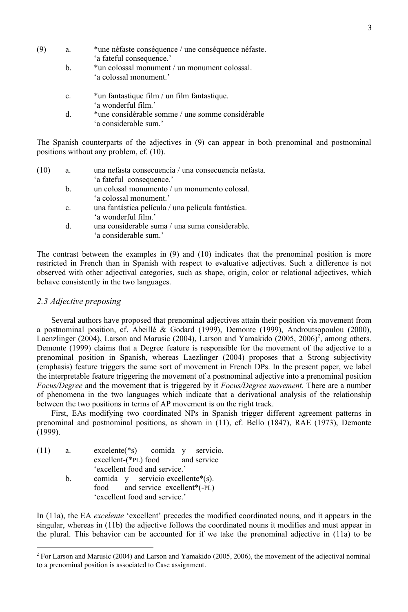- (9) a. \*une néfaste conséquence / une conséquence néfaste. 'a fateful consequence.'
	- b. \*un colossal monument / un monument colossal. 'a colossal monument.'
	- c. \*un fantastique film / un film fantastique. 'a wonderful film.'
	- d. \*une considérable somme / une somme considérable 'a considerable sum.'

The Spanish counterparts of the adjectives in (9) can appear in both prenominal and postnominal positions without any problem, cf. (10).

- (10) a. una nefasta consecuencia / una consecuencia nefasta. 'a fateful consequence.'
	- b. un colosal monumento / un monumento colosal. 'a colossal monument.'
	- c. una fantástica película / una película fantástica. 'a wonderful film.'
	- d. una considerable suma / una suma considerable. 'a considerable sum.'

The contrast between the examples in (9) and (10) indicates that the prenominal position is more restricted in French than in Spanish with respect to evaluative adjectives. Such a difference is not observed with other adjectival categories, such as shape, origin, color or relational adjectives, which behave consistently in the two languages.

#### *2.3 Adjective preposing*

Several authors have proposed that prenominal adjectives attain their position via movement from a postnominal position, cf. Abeillé & Godard (1999), Demonte (1999), Androutsopoulou (2000), Laenzlinger (2004), Larson and Marusic (2004), Larson and Yamakido (2005, 2006)<sup>2</sup>, among others. Demonte (1999) claims that a Degree feature is responsible for the movement of the adjective to a prenominal position in Spanish, whereas Laezlinger (2004) proposes that a Strong subjectivity (emphasis) feature triggers the same sort of movement in French DPs. In the present paper, we label the interpretable feature triggering the movement of a postnominal adjective into a prenominal position *Focus/Degree* and the movement that is triggered by it *Focus/Degree movement*. There are a number of phenomena in the two languages which indicate that a derivational analysis of the relationship between the two positions in terms of AP movement is on the right track.

First, EAs modifying two coordinated NPs in Spanish trigger different agreement patterns in prenominal and postnominal positions, as shown in (11), cf. Bello (1847), RAE (1973), Demonte (1999).

| (11) | a. | $excelente(*)$ comida $y$ servicio. |  |  |  |
|------|----|-------------------------------------|--|--|--|
|      |    | excellent-(*PL) food and service    |  |  |  |
|      |    | 'excellent food and service.'       |  |  |  |
|      | h. | comida y servicio excellente*(s).   |  |  |  |
|      |    | food and service excellent*(-PL)    |  |  |  |
|      |    | 'excellent food and service.'       |  |  |  |

In (11a), the EA *excelente* 'excellent' precedes the modified coordinated nouns, and it appears in the singular, whereas in (11b) the adjective follows the coordinated nouns it modifies and must appear in the plural. This behavior can be accounted for if we take the prenominal adjective in (11a) to be

<sup>&</sup>lt;sup>2</sup> For Larson and Marusic (2004) and Larson and Yamakido (2005, 2006), the movement of the adjectival nominal to a prenominal position is associated to Case assignment.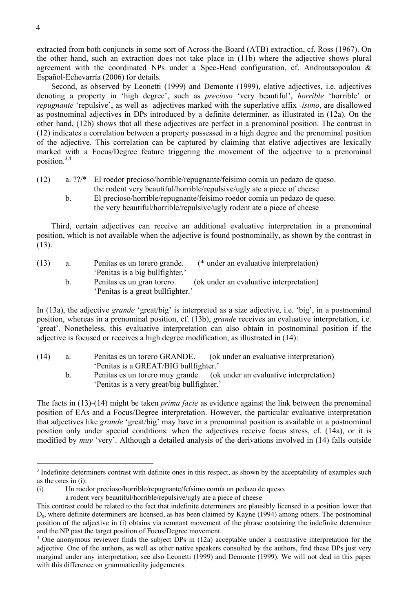extracted from both conjuncts in some sort of Across-the-Board (ATB) extraction, cf. Ross (1967). On the other hand, such an extraction does not take place in (11b) where the adjective shows plural agreement with the coordinated NPs under a Spec-Head configuration, cf. Androutsopoulou & Español-Echevarría (2006) for details.

Second, as observed by Leonetti (1999) and Demonte (1999), elative adjectives, i.e. adjectives denoting a property in 'high degree', such as *precioso* 'very beautiful', *horrible* 'horrible' or *repugnante* 'repulsive', as well as adjectives marked with the superlative affix *-ísimo*, are disallowed as postnominal adjectives in DPs introduced by a definite determiner, as illustrated in (12a). On the other hand, (12b) shows that all these adjectives are perfect in a prenominal position. The contrast in (12) indicates a correlation between a property possessed in a high degree and the prenominal position of the adjective. This correlation can be captured by claiming that elative adjectives are lexically marked with a Focus/Degree feature triggering the movement of the adjective to a prenominal position.3,4

- (12) a. ??/\* El roedor precioso/horrible/repugnante/feísimo comía un pedazo de queso. the rodent very beautiful/horrible/repulsive/ugly ate a piece of cheese
	- b. El precioso/horrible/repugnante/feísimo roedor comía un pedazo de queso. the very beautiful/horrible/repulsive/ugly rodent ate a piece of cheese

Third, certain adjectives can receive an additional evaluative interpretation in a prenominal position, which is not available when the adjective is found postnominally, as shown by the contrast in (13).

| (13) | Penitas es un torero grande.    | (* under an evaluative interpretation) |
|------|---------------------------------|----------------------------------------|
|      | 'Penitas is a big bullfighter.' |                                        |

b. Penitas es un gran torero. (ok under an evaluative interpretation) 'Penitas is a great bullfighter.'

In (13a), the adjective *grande* 'great/big' is interpreted as a size adjective, i.e. 'big', in a postnominal position, whereas in a prenominal position, cf. (13b), *grande* receives an evaluative interpretation, i.e. 'great'. Nonetheless, this evaluative interpretation can also obtain in postnominal position if the adjective is focused or receives a high degree modification, as illustrated in (14):

- (14) a. Penitas es un torero GRANDE. (ok under an evaluative interpretation) 'Penitas is a GREAT/BIG bullfighter.'
	- b. Penitas es un torero muy grande. (ok under an evaluative interpretation) 'Penitas is a very great/big bullfighter.'

The facts in (13)-(14) might be taken *prima facie* as evidence against the link between the prenominal position of EAs and a Focus/Degree interpretation. However, the particular evaluative interpretation that adjectives like *grande* 'great/big' may have in a prenominal position is available in a postnominal position only under special conditions: when the adjectives receive focus stress, cf. (14a), or it is modified by *muy* 'very'. Although a detailed analysis of the derivations involved in (14) falls outside

<sup>&</sup>lt;sup>3</sup> Indefinite determiners contrast with definite ones in this respect, as shown by the acceptability of examples such as the ones in (i):

<sup>(</sup>i) Un roedor precioso/horrible/repugnante/feísimo comía un pedazo de queso.

a rodent very beautiful/horrible/repulsive/ugly ate a piece of cheese

This contrast could be related to the fact that indefinite determiners are plausibly licensed in a position lower that  $D_0$ , where definite determiners are licensed, as has been claimed by Kayne (1994) among others. The postnominal position of the adjective in (i) obtains via remnant movement of the phrase containing the indefinite determiner and the NP past the target position of Focus/Degree movement.

<sup>4</sup> One anonymous reviewer finds the subject DPs in (12a) acceptable under a contrastive interpretation for the adjective. One of the authors, as well as other native speakers consulted by the authors, find these DPs just very marginal under any interpretation, see also Leonetti (1999) and Demonte (1999). We will not deal in this paper with this difference on grammaticality judgements.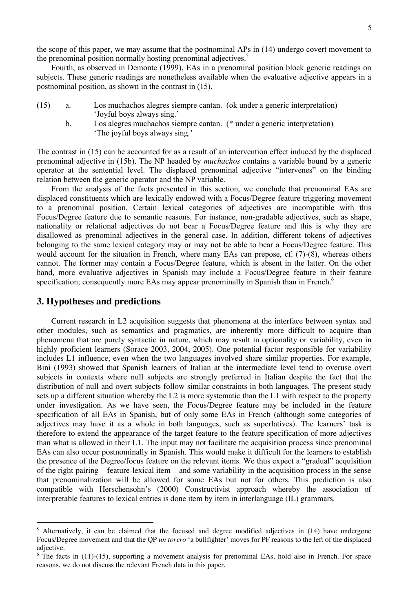the scope of this paper, we may assume that the postnominal APs in (14) undergo covert movement to the prenominal position normally hosting prenominal adjectives.<sup>5</sup>

Fourth, as observed in Demonte (1999), EAs in a prenominal position block generic readings on subjects. These generic readings are nonetheless available when the evaluative adjective appears in a postnominal position, as shown in the contrast in (15).

- (15) a. Los muchachos alegres siempre cantan. (ok under a generic interpretation) 'Joyful boys always sing.'
	- b. Los alegres muchachos siempre cantan. (\* under a generic interpretation) 'The joyful boys always sing.'

The contrast in (15) can be accounted for as a result of an intervention effect induced by the displaced prenominal adjective in (15b). The NP headed by *muchachos* contains a variable bound by a generic operator at the sentential level. The displaced prenominal adjective "intervenes" on the binding relation between the generic operator and the NP variable.

From the analysis of the facts presented in this section, we conclude that prenominal EAs are displaced constituents which are lexically endowed with a Focus/Degree feature triggering movement to a prenominal position. Certain lexical categories of adjectives are incompatible with this Focus/Degree feature due to semantic reasons. For instance, non-gradable adjectives, such as shape, nationality or relational adjectives do not bear a Focus/Degree feature and this is why they are disallowed as prenominal adjectives in the general case. In addition, different tokens of adjectives belonging to the same lexical category may or may not be able to bear a Focus/Degree feature. This would account for the situation in French, where many EAs can prepose, cf. (7)-(8), whereas others cannot. The former may contain a Focus/Degree feature, which is absent in the latter. On the other hand, more evaluative adjectives in Spanish may include a Focus/Degree feature in their feature specification; consequently more EAs may appear prenominally in Spanish than in French.<sup>6</sup>

#### **3. Hypotheses and predictions**

Current research in L2 acquisition suggests that phenomena at the interface between syntax and other modules, such as semantics and pragmatics, are inherently more difficult to acquire than phenomena that are purely syntactic in nature, which may result in optionality or variability, even in highly proficient learners (Sorace 2003, 2004, 2005). One potential factor responsible for variability includes L1 influence, even when the two languages involved share similar properties. For example, Bini (1993) showed that Spanish learners of Italian at the intermediate level tend to overuse overt subjects in contexts where null subjects are strongly preferred in Italian despite the fact that the distribution of null and overt subjects follow similar constraints in both languages. The present study sets up a different situation whereby the L2 is more systematic than the L1 with respect to the property under investigation. As we have seen, the Focus/Degree feature may be included in the feature specification of all EAs in Spanish, but of only some EAs in French (although some categories of adjectives may have it as a whole in both languages, such as superlatives). The learners' task is therefore to extend the appearance of the target feature to the feature specification of more adjectives than what is allowed in their L1. The input may not facilitate the acquisition process since prenominal EAs can also occur postnominally in Spanish. This would make it difficult for the learners to establish the presence of the Degree/focus feature on the relevant items. We thus expect a "gradual" acquisition of the right pairing – feature-lexical item – and some variability in the acquisition process in the sense that prenominalization will be allowed for some EAs but not for others. This prediction is also compatible with Herschensohn's (2000) Constructivist approach whereby the association of interpretable features to lexical entries is done item by item in interlanguage (IL) grammars.

<sup>&</sup>lt;sup>5</sup> Alternatively, it can be claimed that the focused and degree modified adjectives in (14) have undergone Focus/Degree movement and that the QP *un torero* 'a bullfighter' moves for PF reasons to the left of the displaced adjective.

<sup>&</sup>lt;sup>6</sup> The facts in (11)-(15), supporting a movement analysis for prenominal EAs, hold also in French. For space reasons, we do not discuss the relevant French data in this paper.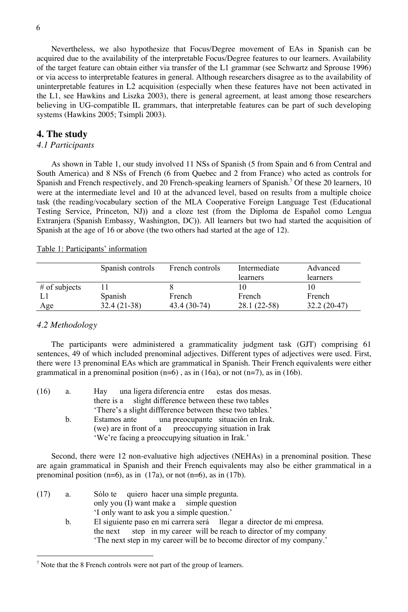Nevertheless, we also hypothesize that Focus/Degree movement of EAs in Spanish can be acquired due to the availability of the interpretable Focus/Degree features to our learners. Availability of the target feature can obtain either via transfer of the L1 grammar (see Schwartz and Sprouse 1996) or via access to interpretable features in general. Although researchers disagree as to the availability of uninterpretable features in L2 acquisition (especially when these features have not been activated in the L1, see Hawkins and Liszka 2003), there is general agreement, at least among those researchers believing in UG-compatible IL grammars, that interpretable features can be part of such developing systems (Hawkins 2005; Tsimpli 2003).

#### **4. The study**

#### *4.1 Participants*

As shown in Table 1, our study involved 11 NSs of Spanish (5 from Spain and 6 from Central and South America) and 8 NSs of French (6 from Quebec and 2 from France) who acted as controls for Spanish and French respectively, and 20 French-speaking learners of Spanish.<sup>7</sup> Of these 20 learners, 10 were at the intermediate level and 10 at the advanced level, based on results from a multiple choice task (the reading/vocabulary section of the MLA Cooperative Foreign Language Test (Educational Testing Service, Princeton, NJ)) and a cloze test (from the Diploma de Español como Lengua Extranjera (Spanish Embassy, Washington, DC)). All learners but two had started the acquisition of Spanish at the age of 16 or above (the two others had started at the age of 12).

Table 1: Participants' information

|                 | Spanish controls | French controls | Intermediate<br>learners | Advanced<br>learners |
|-----------------|------------------|-----------------|--------------------------|----------------------|
| $#$ of subjects |                  |                 |                          |                      |
|                 | Spanish          | French          | French                   | French               |
| Age             | $32.4(21-38)$    | 43.4 (30-74)    | $28.1(22-58)$            | $32.2(20-47)$        |

#### *4.2 Methodology*

The participants were administered a grammaticality judgment task (GJT) comprising 61 sentences, 49 of which included prenominal adjectives. Different types of adjectives were used. First, there were 13 prenominal EAs which are grammatical in Spanish. Their French equivalents were either grammatical in a prenominal position  $(n=6)$ , as in  $(16a)$ , or not  $(n=7)$ , as in  $(16b)$ .

| (16) | a. | Hay una ligera diferencia entre estas dos mesas.        |
|------|----|---------------------------------------------------------|
|      |    | there is a slight difference between these two tables   |
|      |    | 'There's a slight difference between these two tables.' |
|      | h. | una preocupante situación en Irak.<br>Estamos ante      |
|      |    | (we) are in front of a preoccupying situation in Irak   |
|      |    | 'We're facing a preoccupying situation in Irak.'        |

Second, there were 12 non-evaluative high adjectives (NEHAs) in a prenominal position. These are again grammatical in Spanish and their French equivalents may also be either grammatical in a prenominal position  $(n=6)$ , as in  $(17a)$ , or not  $(n=6)$ , as in  $(17b)$ .

- (17) a. Sólo te quiero hacer una simple pregunta. only you (I) want make a simple question 'I only want to ask you a simple question.'
	- b. El siguiente paso en mi carrera será llegar a director de mi empresa. the next step in my career will be reach to director of my company 'The next step in my career will be to become director of my company.'

<sup>&</sup>lt;sup>7</sup> Note that the 8 French controls were not part of the group of learners.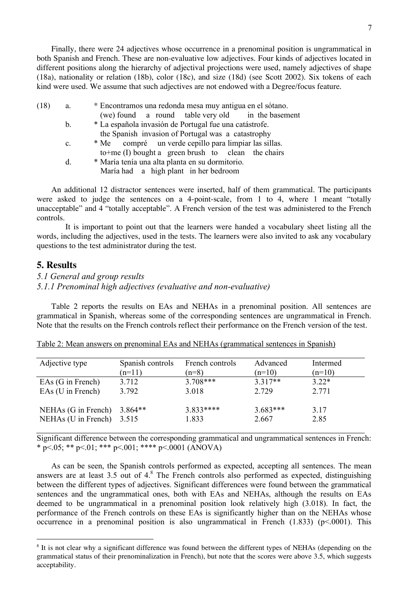Finally, there were 24 adjectives whose occurrence in a prenominal position is ungrammatical in both Spanish and French. These are non-evaluative low adjectives. Four kinds of adjectives located in different positions along the hierarchy of adjectival projections were used, namely adjectives of shape (18a), nationality or relation (18b), color (18c), and size (18d) (see Scott 2002). Six tokens of each kind were used. We assume that such adjectives are not endowed with a Degree/focus feature.

| (18) |  | * Encontramos una redonda mesa muy antigua en el sótano. |  |  |  |
|------|--|----------------------------------------------------------|--|--|--|
|------|--|----------------------------------------------------------|--|--|--|

- (we) found a round table very old in the basement
- b. \* La española invasión de Portugal fue una catástrofe. the Spanish invasion of Portugal was a catastrophy
- c. \* Me compré un verde cepillo para limpiar las sillas. to+me (I) bought a green brush to clean the chairs
- d. \* María tenía una alta planta en su dormitorio. María had a high plant in her bedroom

An additional 12 distractor sentences were inserted, half of them grammatical. The participants were asked to judge the sentences on a 4-point-scale, from 1 to 4, where 1 meant "totally unacceptable" and 4 "totally acceptable". A French version of the test was administered to the French controls.

It is important to point out that the learners were handed a vocabulary sheet listing all the words, including the adjectives, used in the tests. The learners were also invited to ask any vocabulary questions to the test administrator during the test.

## **5. Results**

*5.1 General and group results*

#### *5.1.1 Prenominal high adjectives (evaluative and non-evaluative)*

Table 2 reports the results on EAs and NEHAs in a prenominal position. All sentences are grammatical in Spanish, whereas some of the corresponding sentences are ungrammatical in French. Note that the results on the French controls reflect their performance on the French version of the test.

| Adjective type      | Spanish controls<br>$(n=11)$ | French controls<br>$(n=8)$ | Advanced<br>$(n=10)$ | Intermed<br>$(n=10)$ |
|---------------------|------------------------------|----------------------------|----------------------|----------------------|
| EAs (G in French)   | 3.712                        | $3.708***$                 | $3.317**$            | $3.22*$              |
| EAs (U in French)   | 3.792                        | 3.018                      | 2.729                | 2.771                |
| NEHAs (G in French) | $3.864**$                    | $3.833****$                | $3.683***$           | 3.17                 |
| NEHAs (U in French) | 3.515                        | 1.833                      | 2.667                | 2.85                 |

|--|

Significant difference between the corresponding grammatical and ungrammatical sentences in French: \* p <.05; \*\* p <.01; \*\*\* p <.001; \*\*\*\* p <.0001 (ANOVA)

As can be seen, the Spanish controls performed as expected, accepting all sentences. The mean answers are at least  $3.5$  out of  $4.8$ . The French controls also performed as expected, distinguishing between the different types of adjectives. Significant differences were found between the grammatical sentences and the ungrammatical ones, both with EAs and NEHAs, although the results on EAs deemed to be ungrammatical in a prenominal position look relatively high (3.018). In fact, the performance of the French controls on these EAs is significantly higher than on the NEHAs whose occurrence in a prenominal position is also ungrammatical in French  $(1.833)$  ( $p<0.001$ ). This

<sup>&</sup>lt;sup>8</sup> It is not clear why a significant difference was found between the different types of NEHAs (depending on the grammatical status of their prenominalization in French), but note that the scores were above 3.5, which suggests acceptability.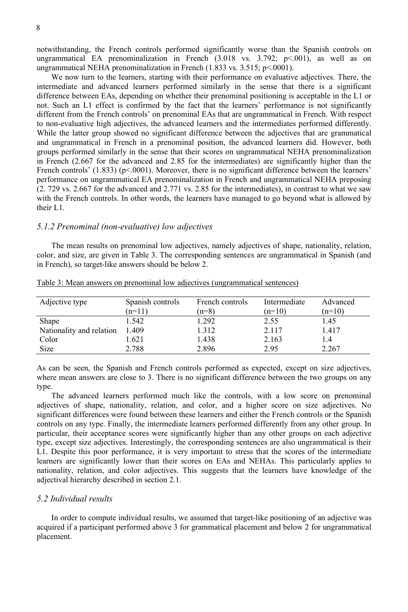notwithstanding, the French controls performed significantly worse than the Spanish controls on ungrammatical EA prenominalization in French  $(3.018 \text{ vs. } 3.792; \text{ p} < 0.001)$ , as well as on ungrammatical NEHA prenominalization in French (1.833 vs. 3.515; p <. 0001).

We now turn to the learners, starting with their performance on evaluative adjectives. There, the intermediate and advanced learners performed similarly in the sense that there is a significant difference between EAs, depending on whether their prenominal positioning is acceptable in the L1 or not. Such an L1 effect is confirmed by the fact that the learners' performance is not significantly different from the French controls' on prenominal EAs that are ungrammatical in French. With respect to non-evaluative high adjectives, the advanced learners and the intermediates performed differently. While the latter group showed no significant difference between the adjectives that are grammatical and ungrammatical in French in a prenominal position, the advanced learners did. However, both groups performed similarly in the sense that their scores on ungrammatical NEHA prenominalization in French (2.667 for the advanced and 2.85 for the intermediates) are significantly higher than the French controls' (1.833) ( $p$ <.0001). Moreover, there is no significant difference between the learners' performance on ungrammatical EA prenominalization in French and ungrammatical NEHA preposing (2. 729 vs. 2.667 for the advanced and 2.771 vs. 2.85 for the intermediates), in contrast to what we saw with the French controls. In other words, the learners have managed to go beyond what is allowed by their L1.

#### *5.1.2 Prenominal (non-evaluative) low adjectives*

The mean results on prenominal low adjectives, namely adjectives of shape, nationality, relation, color, and size, are given in Table 3. The corresponding sentences are ungrammatical in Spanish (and in French), so target-like answers should be below 2.

| Adjective type           | Spanish controls | French controls | Intermediate | Advanced |
|--------------------------|------------------|-----------------|--------------|----------|
|                          | $(n=11)$         | $(n=8)$         | $(n=10)$     | $(n=10)$ |
| <b>Shape</b>             | 1.542            | 1.292           | 2.55         | 1.45     |
| Nationality and relation | 1.409            | 1.312           | 2.117        | 1.417    |
| Color                    | l.621            | 1.438           | 2.163        | 1.4      |
| <b>Size</b>              | 2.788            | 2.896           | 2.95         | 2.267    |

Table 3: Mean answers on prenominal low adjectives (ungrammatical sentences)

As can be seen, the Spanish and French controls performed as expected, except on size adjectives, where mean answers are close to 3. There is no significant difference between the two groups on any type.

The advanced learners performed much like the controls, with a low score on prenominal adjectives of shape, nationality, relation, and color, and a higher score on size adjectives. No significant differences were found between these learners and either the French controls or the Spanish controls on any type. Finally, the intermediate learners performed differently from any other group. In particular, their acceptance scores were significantly higher than any other groups on each adjective type, except size adjectives. Interestingly, the corresponding sentences are also ungrammatical is their L1. Despite this poor performance, it is very important to stress that the scores of the intermediate learners are significantly lower than their scores on EAs and NEHAs. This particularly applies to nationality, relation, and color adjectives. This suggests that the learners have knowledge of the adjectival hierarchy described in section 2.1.

#### *5.2 Individual results*

In order to compute individual results, we assumed that target-like positioning of an adjective was acquired if a participant performed above 3 for grammatical placement and below 2 for ungrammatical placement.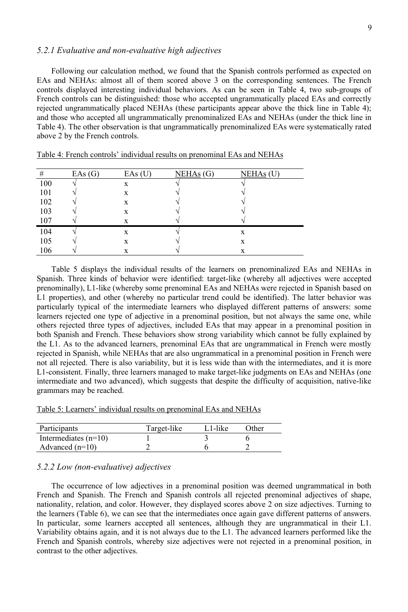#### *5.2.1 Evaluative and non-evaluative high adjectives*

Following our calculation method, we found that the Spanish controls performed as expected on EAs and NEHAs: almost all of them scored above 3 on the corresponding sentences. The French controls displayed interesting individual behaviors. As can be seen in Table 4, two sub-groups of French controls can be distinguished: those who accepted ungrammatically placed EAs and correctly rejected ungrammatically placed NEHAs (these participants appear above the thick line in Table 4); and those who accepted all ungrammatically prenominalized EAs and NEHAs (under the thick line in Table 4). The other observation is that ungrammatically prenominalized EAs were systematically rated above 2 by the French controls.

| #   | EAs(G) | EAs(U) | NEHAs(G) | $NEHAs$ (U) |
|-----|--------|--------|----------|-------------|
| 100 |        | X      |          |             |
| 101 |        | X      |          |             |
| 102 |        | X      |          |             |
| 103 |        | X      |          |             |
| 107 |        | X      |          |             |
| 104 |        | X      |          | X           |
| 105 |        | X      |          | X           |
| 106 |        | X      |          | X           |

Table 4: French controls' individual results on prenominal EAs and NEHAs

Table 5 displays the individual results of the learners on prenominalized EAs and NEHAs in Spanish. Three kinds of behavior were identified: target-like (whereby all adjectives were accepted prenominally), L1-like (whereby some prenominal EAs and NEHAs were rejected in Spanish based on L1 properties), and other (whereby no particular trend could be identified). The latter behavior was particularly typical of the intermediate learners who displayed different patterns of answers: some learners rejected one type of adjective in a prenominal position, but not always the same one, while others rejected three types of adjectives, included EAs that may appear in a prenominal position in both Spanish and French. These behaviors show strong variability which cannot be fully explained by the L1. As to the advanced learners, prenominal EAs that are ungrammatical in French were mostly rejected in Spanish, while NEHAs that are also ungrammatical in a prenominal position in French were not all rejected. There is also variability, but it is less wide than with the intermediates, and it is more L1-consistent. Finally, three learners managed to make target-like judgments on EAs and NEHAs (one intermediate and two advanced), which suggests that despite the difficulty of acquisition, native-like grammars may be reached.

Table 5: Learners' individual results on prenominal EAs and NEHAs

| Participants           | Target-like | L1-like | Other |
|------------------------|-------------|---------|-------|
| Intermediates $(n=10)$ |             |         |       |
| Advanced $(n=10)$      |             |         |       |

## *5.2.2 Low (non-evaluative) adjectives*

The occurrence of low adjectives in a prenominal position was deemed ungrammatical in both French and Spanish. The French and Spanish controls all rejected prenominal adjectives of shape, nationality, relation, and color. However, they displayed scores above 2 on size adjectives. Turning to the learners (Table 6), we can see that the intermediates once again gave different patterns of answers. In particular, some learners accepted all sentences, although they are ungrammatical in their L1. Variability obtains again, and it is not always due to the L1. The advanced learners performed like the French and Spanish controls, whereby size adjectives were not rejected in a prenominal position, in contrast to the other adjectives.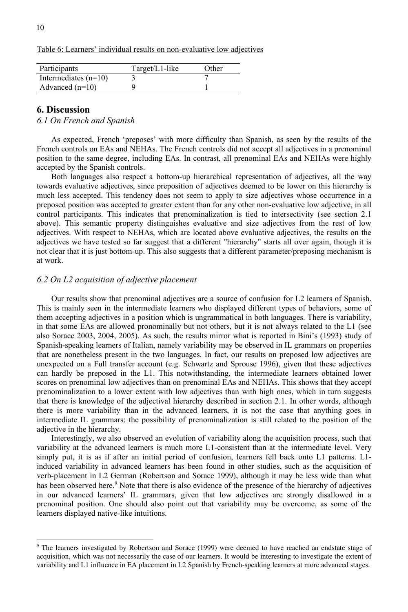Table 6: Learners' individual results on non-evaluative low adjectives

| Participants           | $Target/L1$ -like | Other |
|------------------------|-------------------|-------|
| Intermediates $(n=10)$ |                   |       |
| Advanced $(n=10)$      |                   |       |

# **6. Discussion**

*6.1 On French and Spanish*

As expected, French 'preposes' with more difficulty than Spanish, as seen by the results of the French controls on EAs and NEHAs. The French controls did not accept all adjectives in a prenominal position to the same degree, including EAs. In contrast, all prenominal EAs and NEHAs were highly accepted by the Spanish controls.

Both languages also respect a bottom-up hierarchical representation of adjectives, all the way towards evaluative adjectives, since preposition of adjectives deemed to be lower on this hierarchy is much less accepted. This tendency does not seem to apply to size adjectives whose occurrence in a preposed position was accepted to greater extent than for any other non-evaluative low adjective, in all control participants. This indicates that prenominalization is tied to intersectivity (see section 2.1 above). This semantic property distinguishes evaluative and size adjectives from the rest of low adjectives. With respect to NEHAs, which are located above evaluative adjectives, the results on the adjectives we have tested so far suggest that a different "hierarchy" starts all over again, though it is not clear that it is just bottom-up. This also suggests that a different parameter/preposing mechanism is at work.

#### *6.2 On L2 acquisition of adjective placement*

Our results show that prenominal adjectives are a source of confusion for L2 learners of Spanish. This is mainly seen in the intermediate learners who displayed different types of behaviors, some of them accepting adjectives in a position which is ungrammatical in both languages. There is variability, in that some EAs are allowed pronominally but not others, but it is not always related to the L1 (see also Sorace 2003, 2004, 2005). As such, the results mirror what is reported in Bini's (1993) study of Spanish-speaking learners of Italian, namely variability may be observed in IL grammars on properties that are nonetheless present in the two languages. In fact, our results on preposed low adjectives are unexpected on a Full transfer account (e.g. Schwartz and Sprouse 1996), given that these adjectives can hardly be preposed in the L1. This notwithstanding, the intermediate learners obtained lower scores on prenominal low adjectives than on prenominal EAs and NEHAs. This shows that they accept prenominalization to a lower extent with low adjectives than with high ones, which in turn suggests that there is knowledge of the adjectival hierarchy described in section 2.1. In other words, although there is more variability than in the advanced learners, it is not the case that anything goes in intermediate IL grammars: the possibility of prenominalization is still related to the position of the adjective in the hierarchy.

Interestingly, we also observed an evolution of variability along the acquisition process, such that variability at the advanced learners is much more L1-consistent than at the intermediate level. Very simply put, it is as if after an initial period of confusion, learners fell back onto L1 patterns. L1 induced variability in advanced learners has been found in other studies, such as the acquisition of verb-placement in L2 German (Robertson and Sorace 1999), although it may be less wide than what has been observed here.<sup>9</sup> Note that there is also evidence of the presence of the hierarchy of adjectives in our advanced learners' IL grammars, given that low adjectives are strongly disallowed in a prenominal position. One should also point out that variability may be overcome, as some of the learners displayed native-like intuitions.

<sup>&</sup>lt;sup>9</sup> The learners investigated by Robertson and Sorace (1999) were deemed to have reached an endstate stage of acquisition, which was not necessarily the case of our learners. It would be interesting to investigate the extent of variability and L1 influence in EA placement in L2 Spanish by French-speaking learners at more advanced stages.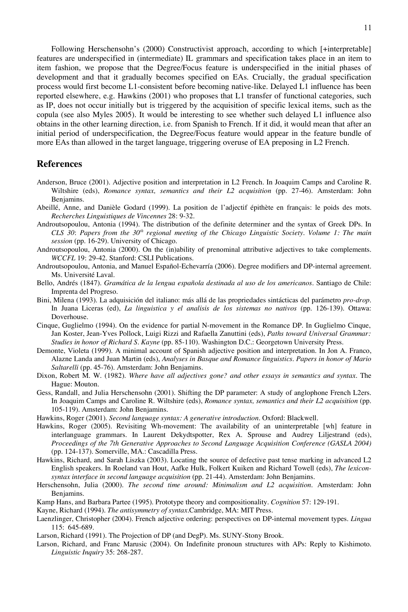Following Herschensohn's (2000) Constructivist approach, according to which [+interpretable] features are underspecified in (intermediate) IL grammars and specification takes place in an item to item fashion, we propose that the Degree/Focus feature is underspecified in the initial phases of development and that it gradually becomes specified on EAs. Crucially, the gradual specification process would first become L1-consistent before becoming native-like. Delayed L1 influence has been reported elsewhere, e.g. Hawkins (2001) who proposes that L1 transfer of functional categories, such as IP, does not occur initially but is triggered by the acquisition of specific lexical items, such as the copula (see also Myles 2005). It would be interesting to see whether such delayed L1 influence also obtains in the other learning direction, i.e. from Spanish to French. If it did, it would mean that after an initial period of underspecification, the Degree/Focus feature would appear in the feature bundle of more EAs than allowed in the target language, triggering overuse of EA preposing in L2 French.

#### **References**

- Anderson, Bruce (2001). Adjective position and interpretation in L2 French. In Joaquim Camps and Caroline R. Wiltshire (eds), *Romance syntax, semantics and their L2 acquisition* (pp. 27-46). Amsterdam: John Benjamins.
- Abeillé, Anne, and Danièle Godard (1999). La position de l'adjectif épithète en français: le poids des mots. *Recherches Linguistiques de Vincennes* 28: 9-32.
- Androutsopoulou, Antonia (1994). The distribution of the definite determiner and the syntax of Greek DPs. In *CLS 30*: *Papers from the 30th regional meeting of the Chicago Linguistic Society. Volume 1: The main session* (pp. 16-29). University of Chicago.
- Androutsopoulou, Antonia (2000). On the (in)ability of prenominal attributive adjectives to take complements. *WCCFL* 19: 29-42. Stanford: CSLI Publications.
- Androutsopoulou, Antonia, and Manuel Español-Echevarría (2006). Degree modifiers and DP-internal agreement. Ms. Université Laval.
- Bello, Andrés (1847). *Gramática de la lengua española destinada al uso de los americanos*. Santiago de Chile: Imprenta del Progreso.
- Bini, Milena (1993). La adquisición del italiano: más allá de las propriedades sintácticas del parámetro *pro-drop*. In Juana Liceras (ed), *La linguistica y el analisis de los sistemas no nativos* (pp. 126-139). Ottawa: Doverhouse.
- Cinque, Guglielmo (1994). On the evidence for partial N-movement in the Romance DP. In Guglielmo Cinque, Jan Koster, Jean-Yves Pollock, Luigi Rizzi and Rafaella Zanuttini (eds), *Paths toward Universal Grammar: Studies in honor of Richard S. Kayne* (pp. 85-110). Washington D.C.: Georgetown University Press.
- Demonte, Violeta (1999). A minimal account of Spanish adjective position and interpretation. In Jon A. Franco, Alazne Landa and Juan Martin (eds), *Analyses in Basque and Romance linguistics. Papers in honor of Mario Saltarelli* (pp. 45-76). Amsterdam: John Benjamins.
- Dixon, Robert M. W. (1982). *Where have all adjectives gone? and other essays in semantics and syntax*. The Hague: Mouton.
- Gess, Randall, and Julia Herschensohn (2001). Shifting the DP parameter: A study of anglophone French L2ers. In Joaquim Camps and Caroline R. Wiltshire (eds), *Romance syntax, semantics and their L2 acquisition* (pp. 105-119). Amsterdam: John Benjamins.
- Hawkins, Roger (2001). *Second language syntax: A generative introduction*. Oxford: Blackwell.
- Hawkins, Roger (2005). Revisiting Wh-movement: The availability of an uninterpretable [wh] feature in interlanguage grammars. In Laurent Dekydtspotter, Rex A. Sprouse and Audrey Liljestrand (eds), *Proceedings of the 7th Generative Approaches to Second Language Acquisition Conference (GASLA 2004)* (pp. 124-137). Somerville, MA.: Cascadilla Press.
- Hawkins, Richard, and Sarah Liszka (2003). Locating the source of defective past tense marking in advanced L2 English speakers. In Roeland van Hout, Aafke Hulk, Folkert Kuiken and Richard Towell (eds), *The lexiconsyntax interface in second language acquisition* (pp. 21-44). Amsterdam: John Benjamins.
- Herschensohn, Julia (2000). *The second time around: Minimalism and L2 acquisition*. Amsterdam: John Benjamins.
- Kamp Hans, and Barbara Partee (1995). Prototype theory and compositionality. *Cognition* 57: 129-191.
- Kayne, Richard (1994). *The antisymmetry of syntax.*Cambridge, MA: MIT Press.
- Laenzlinger, Christopher (2004). French adjective ordering: perspectives on DP-internal movement types. *Lingua*  115: 645-689.
- Larson, Richard (1991). The Projection of DP (and DegP). Ms. SUNY-Stony Brook.
- Larson, Richard, and Franc Marusic (2004). On Indefinite pronoun structures with APs: Reply to Kishimoto. *Linguistic Inquiry* 35: 268-287.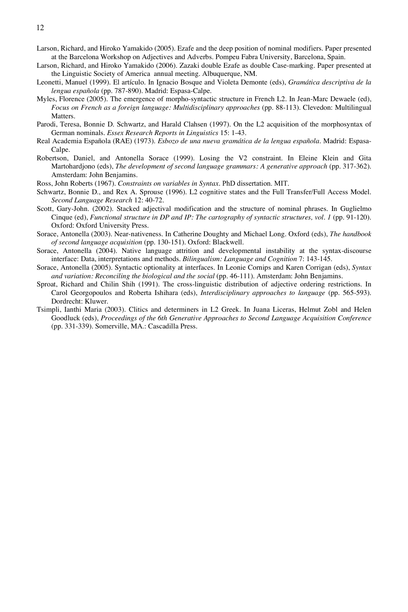- Larson, Richard, and Hiroko Yamakido (2005). Ezafe and the deep position of nominal modifiers. Paper presented at the Barcelona Workshop on Adjectives and Adverbs. Pompeu Fabra University, Barcelona, Spain.
- Larson, Richard, and Hiroko Yamakido (2006). Zazaki double Ezafe as double Case-marking. Paper presented at the Linguistic Society of America annual meeting. Albuquerque, NM.
- Leonetti, Manuel (1999). El artículo. In Ignacio Bosque and Violeta Demonte (eds), *Gramática descriptiva de la lengua española* (pp. 787-890). Madrid: Espasa-Calpe.
- Myles, Florence (2005). The emergence of morpho-syntactic structure in French L2. In Jean-Marc Dewaele (ed), *Focus on French as a foreign language: Multidisciplinary approaches* (pp. 88-113). Clevedon: Multilingual Matters.
- Parodi, Teresa, Bonnie D. Schwartz, and Harald Clahsen (1997). On the L2 acquisition of the morphosyntax of German nominals. *Essex Research Reports in Linguistics* 15: 1-43.
- Real Academia Española (RAE) (1973). *Esbozo de una nueva gramática de la lengua española*. Madrid: Espasa-Calpe.
- Robertson, Daniel, and Antonella Sorace (1999). Losing the V2 constraint. In Eleine Klein and Gita Martohardjono (eds), *The development of second language grammars: A generative approach* (pp. 317-362). Amsterdam: John Benjamins.
- Ross, John Roberts (1967). *Constraints on variables in Syntax.* PhD dissertation. MIT.
- Schwartz, Bonnie D., and Rex A. Sprouse (1996). L2 cognitive states and the Full Transfer/Full Access Model. *Second Language Research* 12: 40-72.
- Scott, Gary-John. (2002). Stacked adjectival modification and the structure of nominal phrases. In Guglielmo Cinque (ed), *Functional structure in DP and IP: The cartography of syntactic structures, vol. 1* (pp. 91-120)*.* Oxford: Oxford University Press.
- Sorace, Antonella (2003). Near-nativeness. In Catherine Doughty and Michael Long. Oxford (eds), *The handbook of second language acquisition* (pp. 130-151). Oxford: Blackwell.
- Sorace, Antonella (2004). Native language attrition and developmental instability at the syntax-discourse interface: Data, interpretations and methods. *Bilingualism: Language and Cognition* 7: 143-145.
- Sorace, Antonella (2005). Syntactic optionality at interfaces. In Leonie Cornips and Karen Corrigan (eds), *Syntax and variation: Reconciling the biological and the social* (pp. 46-111). Amsterdam: John Benjamins.
- Sproat, Richard and Chilin Shih (1991). The cross-linguistic distribution of adjective ordering restrictions. In Carol Georgopoulos and Roberta Ishihara (eds), *Interdisciplinary approaches to language* (pp. 565-593)*.*  Dordrecht: Kluwer.
- Tsimpli, Ianthi Maria (2003). Clitics and determiners in L2 Greek. In Juana Liceras, Helmut Zobl and Helen Goodluck (eds), *Proceedings of the 6th Generative Approaches to Second Language Acquisition Conference* (pp. 331-339). Somerville, MA.: Cascadilla Press.